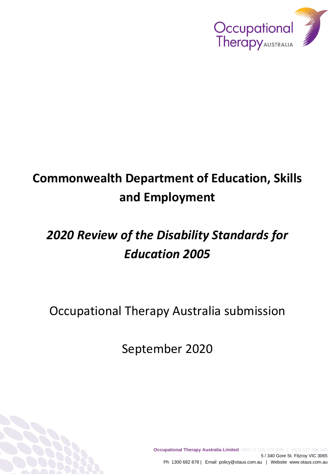

# **Commonwealth Department of Education, Skills and Employment**

# *2020 Review of the Disability Standards for Education 2005*

Occupational Therapy Australia submission

September 2020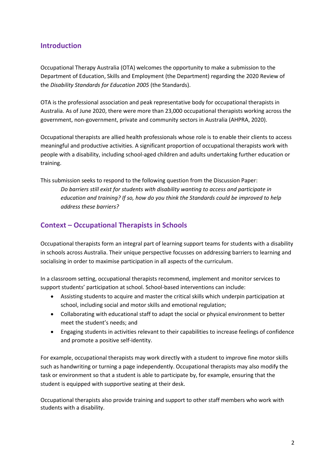### **Introduction**

Occupational Therapy Australia (OTA) welcomes the opportunity to make a submission to the Department of Education, Skills and Employment (the Department) regarding the 2020 Review of the *Disability Standards for Education 2005* (the Standards).

OTA is the professional association and peak representative body for occupational therapists in Australia. As of June 2020, there were more than 23,000 occupational therapists working across the government, non-government, private and community sectors in Australia (AHPRA, 2020).

Occupational therapists are allied health professionals whose role is to enable their clients to access meaningful and productive activities. A significant proportion of occupational therapists work with people with a disability, including school-aged children and adults undertaking further education or training.

This submission seeks to respond to the following question from the Discussion Paper: *Do barriers still exist for students with disability wanting to access and participate in education and training? If so, how do you think the Standards could be improved to help address these barriers?* 

## **Context – Occupational Therapists in Schools**

Occupational therapists form an integral part of learning support teams for students with a disability in schools across Australia. Their unique perspective focusses on addressing barriers to learning and socialising in order to maximise participation in all aspects of the curriculum.

In a classroom setting, occupational therapists recommend, implement and monitor services to support students' participation at school. School-based interventions can include:

- Assisting students to acquire and master the critical skills which underpin participation at school, including social and motor skills and emotional regulation;
- Collaborating with educational staff to adapt the social or physical environment to better meet the student's needs; and
- Engaging students in activities relevant to their capabilities to increase feelings of confidence and promote a positive self-identity.

For example, occupational therapists may work directly with a student to improve fine motor skills such as handwriting or turning a page independently. Occupational therapists may also modify the task or environment so that a student is able to participate by, for example, ensuring that the student is equipped with supportive seating at their desk.

Occupational therapists also provide training and support to other staff members who work with students with a disability.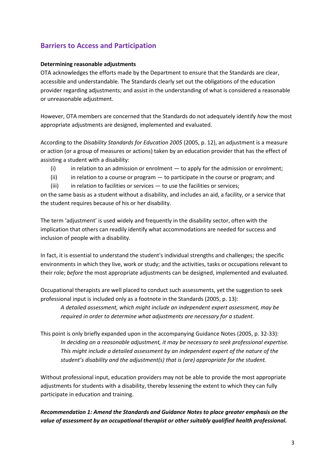## **Barriers to Access and Participation**

#### **Determining reasonable adjustments**

OTA acknowledges the efforts made by the Department to ensure that the Standards are clear, accessible and understandable. The Standards clearly set out the obligations of the education provider regarding adjustments; and assist in the understanding of what is considered a reasonable or unreasonable adjustment.

However, OTA members are concerned that the Standards do not adequately identify *how* the most appropriate adjustments are designed, implemented and evaluated.

According to the *Disability Standards for Education 2005* (2005, p. 12), an adjustment is a measure or action (or a group of measures or actions) taken by an education provider that has the effect of assisting a student with a disability:

- $(i)$  in relation to an admission or enrolment to apply for the admission or enrolment;
- (ii) in relation to a course or program to participate in the course or program; and
- (iii) in relation to facilities or services  $-$  to use the facilities or services;

on the same basis as a student without a disability, and includes an aid, a facility, or a service that the student requires because of his or her disability.

The term 'adjustment' is used widely and frequently in the disability sector, often with the implication that others can readily identify what accommodations are needed for success and inclusion of people with a disability.

In fact, it is essential to understand the student's individual strengths and challenges; the specific environments in which they live, work or study; and the activities, tasks or occupations relevant to their role; *before* the most appropriate adjustments can be designed, implemented and evaluated.

Occupational therapists are well placed to conduct such assessments, yet the suggestion to seek professional input is included only as a footnote in the Standards (2005, p. 13):

*A detailed assessment, which might include an independent expert assessment, may be required in order to determine what adjustments are necessary for a student.*

This point is only briefly expanded upon in the accompanying Guidance Notes (2005, p. 32-33): *In deciding on a reasonable adjustment, it may be necessary to seek professional expertise. This might include a detailed assessment by an independent expert of the nature of the student's disability and the adjustment(s) that is (are) appropriate for the student.*

Without professional input, education providers may not be able to provide the most appropriate adjustments for students with a disability, thereby lessening the extent to which they can fully participate in education and training.

*Recommendation 1: Amend the Standards and Guidance Notes to place greater emphasis on the value of assessment by an occupational therapist or other suitably qualified health professional.*